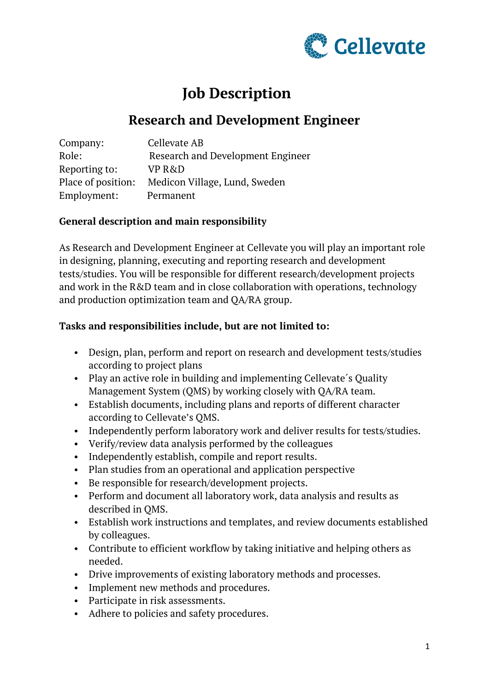

# **Job Description**

## **Research and Development Engineer**

| Company:           | Cellevate AB                             |
|--------------------|------------------------------------------|
| Role:              | <b>Research and Development Engineer</b> |
| Reporting to:      | VP R&D                                   |
| Place of position: | Medicon Village, Lund, Sweden            |
| Employment:        | Permanent                                |

### **General description and main responsibility**

As Research and Development Engineer at Cellevate you will play an important role in designing, planning, executing and reporting research and development tests/studies. You will be responsible for different research/development projects and work in the R&D team and in close collaboration with operations, technology and production optimization team and QA/RA group.

#### **Tasks and responsibilities include, but are not limited to:**

- Design, plan, perform and report on research and development tests/studies according to project plans
- Play an active role in building and implementing Cellevate's Quality Management System (QMS) by working closely with QA/RA team.
- Establish documents, including plans and reports of different character according to Cellevate's QMS.
- Independently perform laboratory work and deliver results for tests/studies.
- Verify/review data analysis performed by the colleagues
- Independently establish, compile and report results.
- Plan studies from an operational and application perspective
- Be responsible for research/development projects.
- Perform and document all laboratory work, data analysis and results as described in QMS.
- Establish work instructions and templates, and review documents established by colleagues.
- Contribute to efficient workflow by taking initiative and helping others as needed.
- Drive improvements of existing laboratory methods and processes.
- Implement new methods and procedures.
- Participate in risk assessments.
- Adhere to policies and safety procedures.